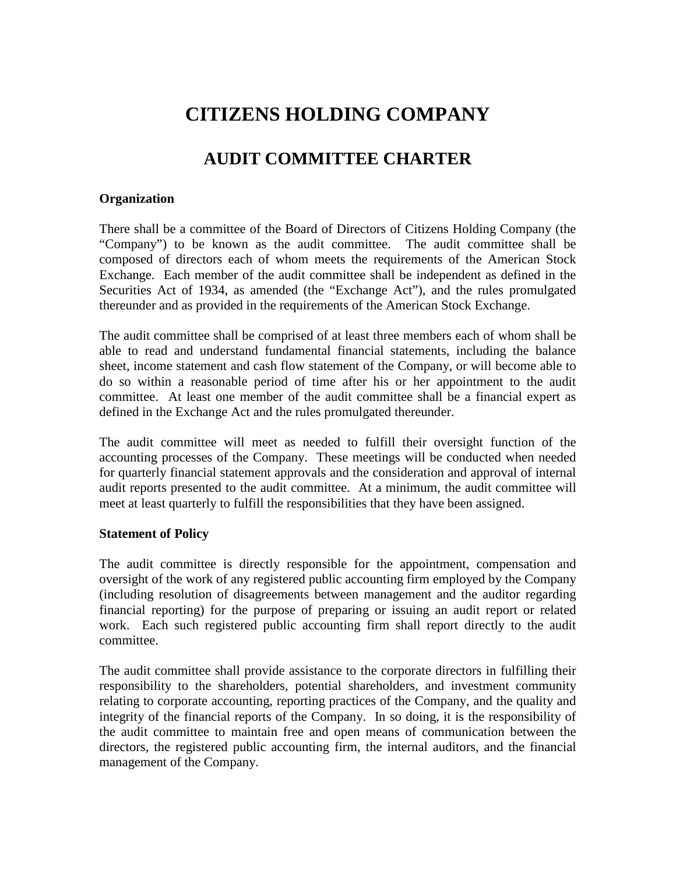# **CITIZENS HOLDING COMPANY**

## **AUDIT COMMITTEE CHARTER**

#### **Organization**

There shall be a committee of the Board of Directors of Citizens Holding Company (the "Company") to be known as the audit committee. The audit committee shall be composed of directors each of whom meets the requirements of the American Stock Exchange. Each member of the audit committee shall be independent as defined in the Securities Act of 1934, as amended (the "Exchange Act"), and the rules promulgated thereunder and as provided in the requirements of the American Stock Exchange.

The audit committee shall be comprised of at least three members each of whom shall be able to read and understand fundamental financial statements, including the balance sheet, income statement and cash flow statement of the Company, or will become able to do so within a reasonable period of time after his or her appointment to the audit committee. At least one member of the audit committee shall be a financial expert as defined in the Exchange Act and the rules promulgated thereunder.

The audit committee will meet as needed to fulfill their oversight function of the accounting processes of the Company. These meetings will be conducted when needed for quarterly financial statement approvals and the consideration and approval of internal audit reports presented to the audit committee. At a minimum, the audit committee will meet at least quarterly to fulfill the responsibilities that they have been assigned.

#### **Statement of Policy**

The audit committee is directly responsible for the appointment, compensation and oversight of the work of any registered public accounting firm employed by the Company (including resolution of disagreements between management and the auditor regarding financial reporting) for the purpose of preparing or issuing an audit report or related work. Each such registered public accounting firm shall report directly to the audit committee.

The audit committee shall provide assistance to the corporate directors in fulfilling their responsibility to the shareholders, potential shareholders, and investment community relating to corporate accounting, reporting practices of the Company, and the quality and integrity of the financial reports of the Company. In so doing, it is the responsibility of the audit committee to maintain free and open means of communication between the directors, the registered public accounting firm, the internal auditors, and the financial management of the Company.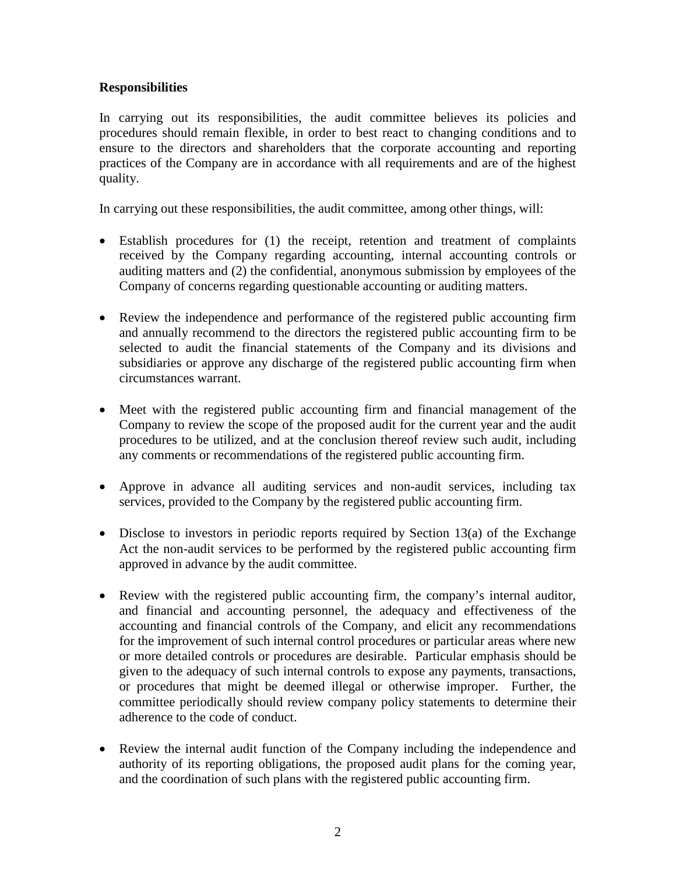## **Responsibilities**

In carrying out its responsibilities, the audit committee believes its policies and procedures should remain flexible, in order to best react to changing conditions and to ensure to the directors and shareholders that the corporate accounting and reporting practices of the Company are in accordance with all requirements and are of the highest quality.

In carrying out these responsibilities, the audit committee, among other things, will:

- Establish procedures for (1) the receipt, retention and treatment of complaints received by the Company regarding accounting, internal accounting controls or auditing matters and (2) the confidential, anonymous submission by employees of the Company of concerns regarding questionable accounting or auditing matters.
- Review the independence and performance of the registered public accounting firm and annually recommend to the directors the registered public accounting firm to be selected to audit the financial statements of the Company and its divisions and subsidiaries or approve any discharge of the registered public accounting firm when circumstances warrant.
- Meet with the registered public accounting firm and financial management of the Company to review the scope of the proposed audit for the current year and the audit procedures to be utilized, and at the conclusion thereof review such audit, including any comments or recommendations of the registered public accounting firm.
- Approve in advance all auditing services and non-audit services, including tax services, provided to the Company by the registered public accounting firm.
- Disclose to investors in periodic reports required by Section 13(a) of the Exchange Act the non-audit services to be performed by the registered public accounting firm approved in advance by the audit committee.
- Review with the registered public accounting firm, the company's internal auditor, and financial and accounting personnel, the adequacy and effectiveness of the accounting and financial controls of the Company, and elicit any recommendations for the improvement of such internal control procedures or particular areas where new or more detailed controls or procedures are desirable. Particular emphasis should be given to the adequacy of such internal controls to expose any payments, transactions, or procedures that might be deemed illegal or otherwise improper. Further, the committee periodically should review company policy statements to determine their adherence to the code of conduct.
- Review the internal audit function of the Company including the independence and authority of its reporting obligations, the proposed audit plans for the coming year, and the coordination of such plans with the registered public accounting firm.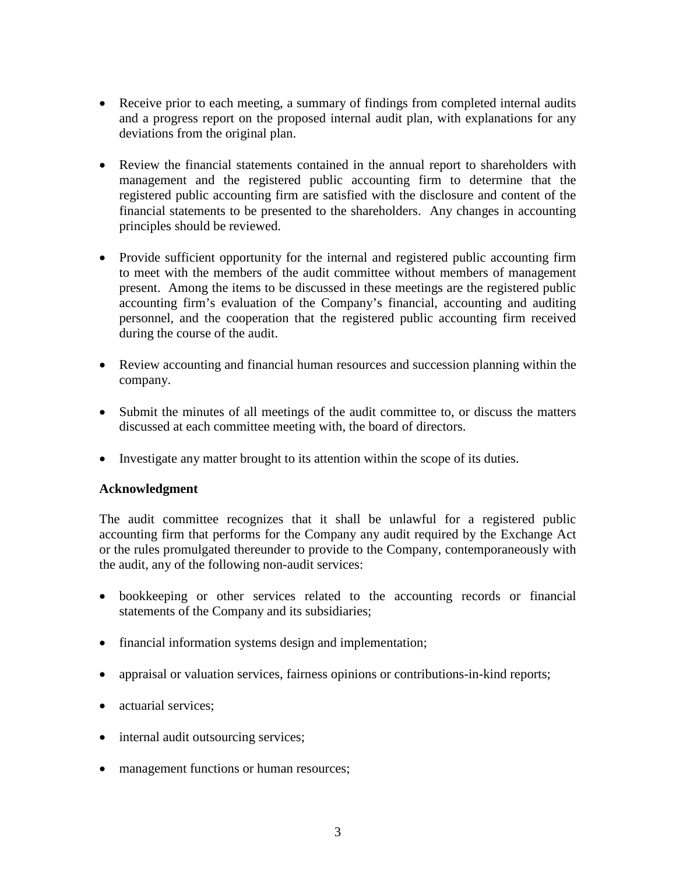- Receive prior to each meeting, a summary of findings from completed internal audits and a progress report on the proposed internal audit plan, with explanations for any deviations from the original plan.
- Review the financial statements contained in the annual report to shareholders with management and the registered public accounting firm to determine that the registered public accounting firm are satisfied with the disclosure and content of the financial statements to be presented to the shareholders. Any changes in accounting principles should be reviewed.
- Provide sufficient opportunity for the internal and registered public accounting firm to meet with the members of the audit committee without members of management present. Among the items to be discussed in these meetings are the registered public accounting firm's evaluation of the Company's financial, accounting and auditing personnel, and the cooperation that the registered public accounting firm received during the course of the audit.
- Review accounting and financial human resources and succession planning within the company.
- Submit the minutes of all meetings of the audit committee to, or discuss the matters discussed at each committee meeting with, the board of directors.
- Investigate any matter brought to its attention within the scope of its duties.

## **Acknowledgment**

The audit committee recognizes that it shall be unlawful for a registered public accounting firm that performs for the Company any audit required by the Exchange Act or the rules promulgated thereunder to provide to the Company, contemporaneously with the audit, any of the following non-audit services:

- bookkeeping or other services related to the accounting records or financial statements of the Company and its subsidiaries;
- financial information systems design and implementation;
- appraisal or valuation services, fairness opinions or contributions-in-kind reports;
- actuarial services:
- internal audit outsourcing services;
- management functions or human resources;